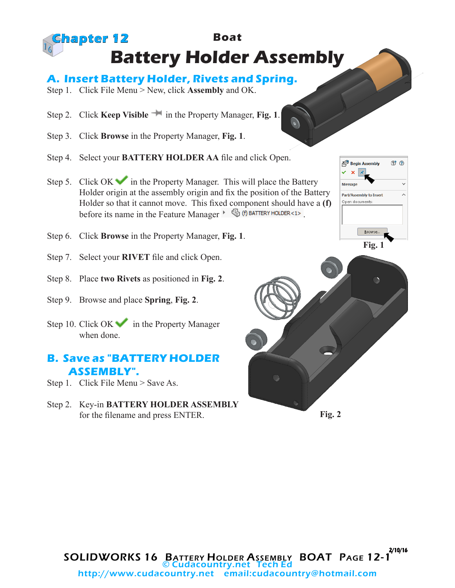## **Boat Battery Holder Assembly Chapter 12**

## **A. Insert Battery Holder, Rivets and Spring.**

- Step 1. Click File Menu > New, click **Assembly** and OK.
- Step 2. Click **Keep Visible in** the Property Manager, **Fig. 1**.
- Step 3. Click **Browse** in the Property Manager, **Fig. 1**.
- Step 4. Select your **BATTERY HOLDER AA** file and click Open.
- Step 5. Click OK in the Property Manager. This will place the Battery Holder origin at the assembly origin and fix the position of the Battery Holder so that it cannot move. This fixed component should have a **(f)** before its name in the Feature Manager  $\cdot$   $\circled{6}$  (f) BATTERY HOLDER<1>.
- Step 6. Click **Browse** in the Property Manager, **Fig. 1**.
- Step 7. Select your **RIVET** file and click Open.
- Step 8. Place **two Rivets** as positioned in **Fig. 2**.
- Step 9. Browse and place **Spring**, **Fig. 2**.
- Step 10. Click  $OK$  in the Property Manager when done.

## **B. Save as "BATTERY HOLDER ASSEMBLY".**

- Step 1. Click File Menu > Save As.
- Step 2. Key-in **BATTERY HOLDER ASSEMBLY**  for the filename and press ENTER.





2/10/16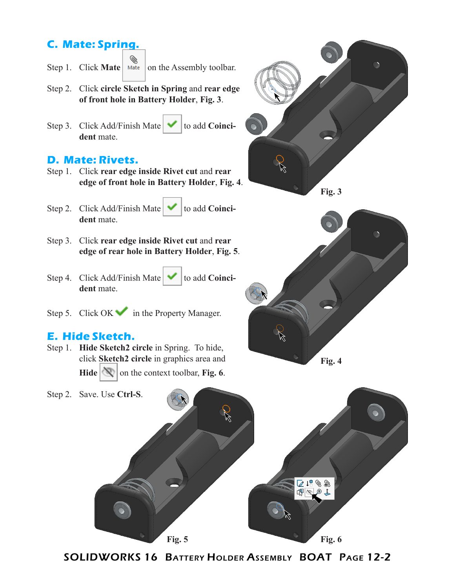# **C. Mate: Spring.**

- Step 1. Click **Mate**  $\left| \bigotimes_{\text{Mate}} \right|$  on the Assembly toolbar.
- Step 2. Click **circle Sketch in Spring** and **rear edge of front hole in Battery Holder**, **Fig. 3**.
- Step 3. Click Add/Finish Mate  $\blacktriangleright$  to add **Coincident** mate.

### **D. Mate: Rivets.**

- Step 1. Click **rear edge inside Rivet cut** and **rear edge of front hole in Battery Holder**, **Fig. 4**.
- Step 2. Click Add/Finish Mate  $\bullet$  to add **Coinci**dent mate.
	-
- Step 3. Click **rear edge inside Rivet cut** and **rear edge of rear hole in Battery Holder**, **Fig. 5**.
- Step 4. Click Add/Finish Mate  $\bullet$  to add **Coinci**dent mate.
- Step 5. Click  $OK \rightarrow$  in the Property Manager.

#### **E. Hide Sketch.**

Step 1. **Hide Sketch2 circle** in Spring. To hide, click **Sketch2 circle** in graphics area and **Hide**  $\mathbb{Q}$  on the context toolbar, **Fig. 6**.

R **Fig. 3**





SOLIDWORKS 16 Battery Holder Assembly BOAT Page 12-2